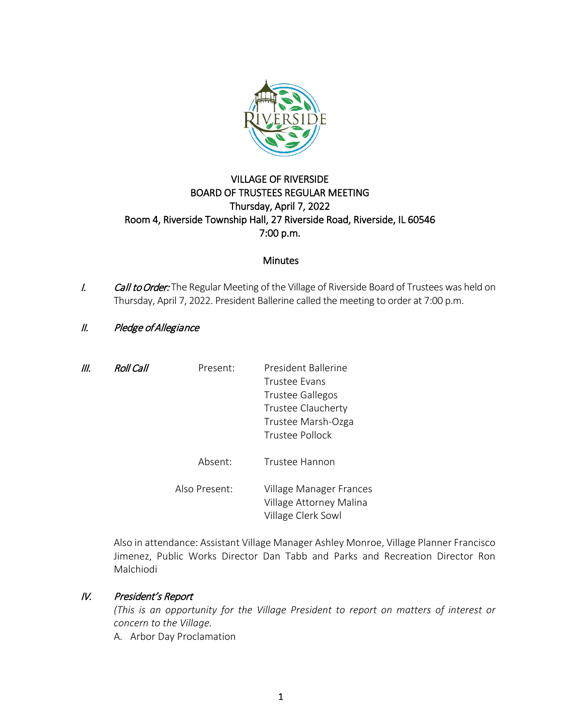

# VILLAGE OF RIVERSIDE BOARD OF TRUSTEES REGULAR MEETING Thursday, April 7, 2022 Room 4, Riverside Township Hall, 27 Riverside Road, Riverside, IL 60546 7:00 p.m.

## **Minutes**

I. Call to Order: The Regular Meeting of the Village of Riverside Board of Trustees was held on Thursday, April 7, 2022. President Ballerine called the meeting to order at 7:00 p.m.

## II. Pledge of Allegiance

| ///. | <b>Roll Call</b> | Present:      | President Ballerine     |
|------|------------------|---------------|-------------------------|
|      |                  |               | Trustee Evans           |
|      |                  |               | <b>Trustee Gallegos</b> |
|      |                  |               | Trustee Claucherty      |
|      |                  |               | Trustee Marsh-Ozga      |
|      |                  |               | Trustee Pollock         |
|      |                  |               |                         |
|      |                  | Absent:       | Trustee Hannon          |
|      |                  |               |                         |
|      |                  | Also Present: | Village Manager Frances |
|      |                  |               | Village Attorney Malina |
|      |                  |               | Village Clerk Sowl      |

Also in attendance: Assistant Village Manager Ashley Monroe, Village Planner Francisco Jimenez, Public Works Director Dan Tabb and Parks and Recreation Director Ron Malchiodi

## IV. President's Report

*(This is an opportunity for the Village President to report on matters of interest or concern to the Village.*

A. Arbor Day Proclamation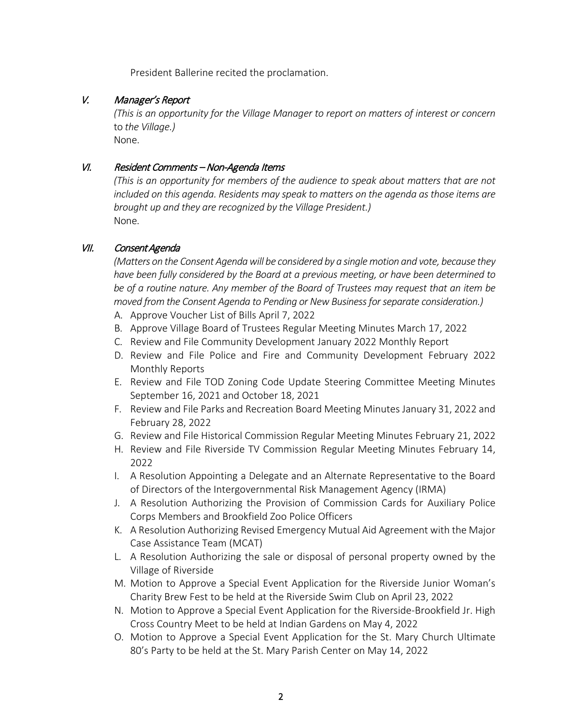President Ballerine recited the proclamation.

# V. Manager's Report

*(This is an opportunity for the Village Manager to report on matters of interest or concern*  to *the Village.)* None.

## VI. Resident Comments – Non-Agenda Items

*(This is an opportunity for members of the audience to speak about matters that are not included on this agenda. Residents may speak to matters on the agenda as those items are brought up and they are recognized by the Village President.)* None.

# VII. Consent Agenda

*(Matters on the Consent Agenda will be considered by a single motion and vote, because they have been fully considered by the Board at a previous meeting, or have been determined to be of a routine nature. Any member of the Board of Trustees may request that an item be moved from the Consent Agenda to Pending or New Business for separate consideration.)*

- A. Approve Voucher List of Bills April 7, 2022
- B. Approve Village Board of Trustees Regular Meeting Minutes March 17, 2022
- C. Review and File Community Development January 2022 Monthly Report
- D. Review and File Police and Fire and Community Development February 2022 Monthly Reports
- E. Review and File TOD Zoning Code Update Steering Committee Meeting Minutes September 16, 2021 and October 18, 2021
- F. Review and File Parks and Recreation Board Meeting Minutes January 31, 2022 and February 28, 2022
- G. Review and File Historical Commission Regular Meeting Minutes February 21, 2022
- H. Review and File Riverside TV Commission Regular Meeting Minutes February 14, 2022
- I. A Resolution Appointing a Delegate and an Alternate Representative to the Board of Directors of the Intergovernmental Risk Management Agency (IRMA)
- J. A Resolution Authorizing the Provision of Commission Cards for Auxiliary Police Corps Members and Brookfield Zoo Police Officers
- K. A Resolution Authorizing Revised Emergency Mutual Aid Agreement with the Major Case Assistance Team (MCAT)
- L. A Resolution Authorizing the sale or disposal of personal property owned by the Village of Riverside
- M. Motion to Approve a Special Event Application for the Riverside Junior Woman's Charity Brew Fest to be held at the Riverside Swim Club on April 23, 2022
- N. Motion to Approve a Special Event Application for the Riverside-Brookfield Jr. High Cross Country Meet to be held at Indian Gardens on May 4, 2022
- O. Motion to Approve a Special Event Application for the St. Mary Church Ultimate 80's Party to be held at the St. Mary Parish Center on May 14, 2022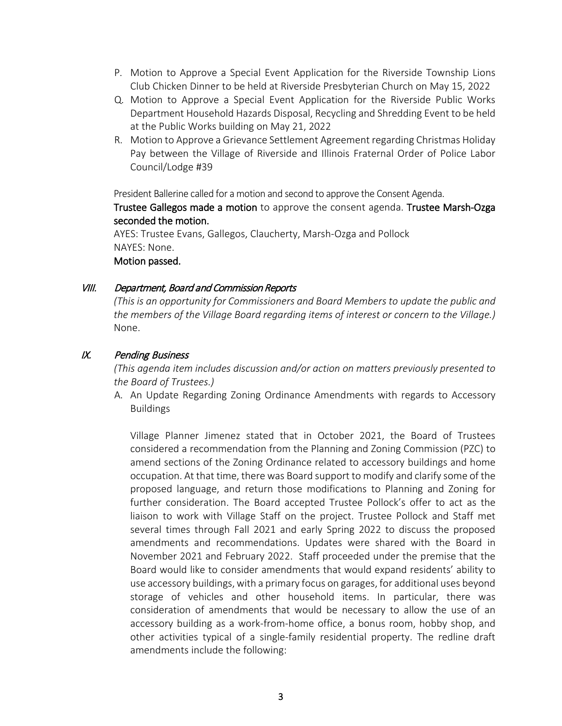- P. Motion to Approve a Special Event Application for the Riverside Township Lions Club Chicken Dinner to be held at Riverside Presbyterian Church on May 15, 2022
- Q. Motion to Approve a Special Event Application for the Riverside Public Works Department Household Hazards Disposal, Recycling and Shredding Event to be held at the Public Works building on May 21, 2022
- R. Motion to Approve a Grievance Settlement Agreement regarding Christmas Holiday Pay between the Village of Riverside and Illinois Fraternal Order of Police Labor Council/Lodge #39

President Ballerine called for a motion and second to approve the Consent Agenda. Trustee Gallegos made a motion to approve the consent agenda. Trustee Marsh-Ozga seconded the motion.

AYES: Trustee Evans, Gallegos, Claucherty, Marsh-Ozga and Pollock NAYES: None. Motion passed.

### VIII. Department, Board and Commission Reports

*(This is an opportunity for Commissioners and Board Members to update the public and the members of the Village Board regarding items of interest or concern to the Village.)* None.

## IX. Pending Business

*(This agenda item includes discussion and/or action on matters previously presented to the Board of Trustees.)*

A. An Update Regarding Zoning Ordinance Amendments with regards to Accessory Buildings

Village Planner Jimenez stated that in October 2021, the Board of Trustees considered a recommendation from the Planning and Zoning Commission (PZC) to amend sections of the Zoning Ordinance related to accessory buildings and home occupation. At that time, there was Board support to modify and clarify some of the proposed language, and return those modifications to Planning and Zoning for further consideration. The Board accepted Trustee Pollock's offer to act as the liaison to work with Village Staff on the project. Trustee Pollock and Staff met several times through Fall 2021 and early Spring 2022 to discuss the proposed amendments and recommendations. Updates were shared with the Board in November 2021 and February 2022. Staff proceeded under the premise that the Board would like to consider amendments that would expand residents' ability to use accessory buildings, with a primary focus on garages, for additional uses beyond storage of vehicles and other household items. In particular, there was consideration of amendments that would be necessary to allow the use of an accessory building as a work-from-home office, a bonus room, hobby shop, and other activities typical of a single-family residential property. The redline draft amendments include the following: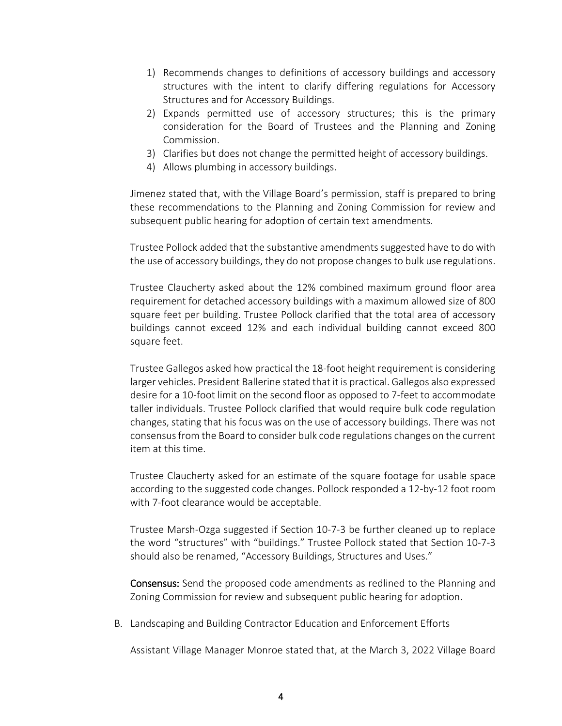- 1) Recommends changes to definitions of accessory buildings and accessory structures with the intent to clarify differing regulations for Accessory Structures and for Accessory Buildings.
- 2) Expands permitted use of accessory structures; this is the primary consideration for the Board of Trustees and the Planning and Zoning Commission.
- 3) Clarifies but does not change the permitted height of accessory buildings.
- 4) Allows plumbing in accessory buildings.

Jimenez stated that, with the Village Board's permission, staff is prepared to bring these recommendations to the Planning and Zoning Commission for review and subsequent public hearing for adoption of certain text amendments.

Trustee Pollock added that the substantive amendments suggested have to do with the use of accessory buildings, they do not propose changes to bulk use regulations.

Trustee Claucherty asked about the 12% combined maximum ground floor area requirement for detached accessory buildings with a maximum allowed size of 800 square feet per building. Trustee Pollock clarified that the total area of accessory buildings cannot exceed 12% and each individual building cannot exceed 800 square feet.

Trustee Gallegos asked how practical the 18-foot height requirement is considering larger vehicles. President Ballerine stated that it is practical. Gallegos also expressed desire for a 10-foot limit on the second floor as opposed to 7-feet to accommodate taller individuals. Trustee Pollock clarified that would require bulk code regulation changes, stating that his focus was on the use of accessory buildings. There was not consensus from the Board to consider bulk code regulations changes on the current item at this time.

Trustee Claucherty asked for an estimate of the square footage for usable space according to the suggested code changes. Pollock responded a 12-by-12 foot room with 7-foot clearance would be acceptable.

Trustee Marsh-Ozga suggested if Section 10-7-3 be further cleaned up to replace the word "structures" with "buildings." Trustee Pollock stated that Section 10-7-3 should also be renamed, "Accessory Buildings, Structures and Uses."

Consensus: Send the proposed code amendments as redlined to the Planning and Zoning Commission for review and subsequent public hearing for adoption.

B. Landscaping and Building Contractor Education and Enforcement Efforts

Assistant Village Manager Monroe stated that, at the March 3, 2022 Village Board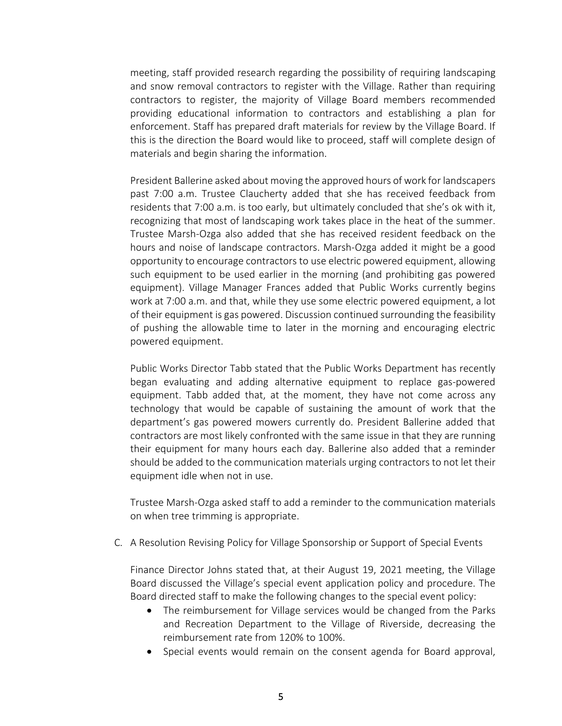meeting, staff provided research regarding the possibility of requiring landscaping and snow removal contractors to register with the Village. Rather than requiring contractors to register, the majority of Village Board members recommended providing educational information to contractors and establishing a plan for enforcement. Staff has prepared draft materials for review by the Village Board. If this is the direction the Board would like to proceed, staff will complete design of materials and begin sharing the information.

President Ballerine asked about moving the approved hours of work for landscapers past 7:00 a.m. Trustee Claucherty added that she has received feedback from residents that 7:00 a.m. is too early, but ultimately concluded that she's ok with it, recognizing that most of landscaping work takes place in the heat of the summer. Trustee Marsh-Ozga also added that she has received resident feedback on the hours and noise of landscape contractors. Marsh-Ozga added it might be a good opportunity to encourage contractors to use electric powered equipment, allowing such equipment to be used earlier in the morning (and prohibiting gas powered equipment). Village Manager Frances added that Public Works currently begins work at 7:00 a.m. and that, while they use some electric powered equipment, a lot of their equipment is gas powered. Discussion continued surrounding the feasibility of pushing the allowable time to later in the morning and encouraging electric powered equipment.

Public Works Director Tabb stated that the Public Works Department has recently began evaluating and adding alternative equipment to replace gas-powered equipment. Tabb added that, at the moment, they have not come across any technology that would be capable of sustaining the amount of work that the department's gas powered mowers currently do. President Ballerine added that contractors are most likely confronted with the same issue in that they are running their equipment for many hours each day. Ballerine also added that a reminder should be added to the communication materials urging contractors to not let their equipment idle when not in use.

Trustee Marsh-Ozga asked staff to add a reminder to the communication materials on when tree trimming is appropriate.

C. A Resolution Revising Policy for Village Sponsorship or Support of Special Events

Finance Director Johns stated that, at their August 19, 2021 meeting, the Village Board discussed the Village's special event application policy and procedure. The Board directed staff to make the following changes to the special event policy:

- The reimbursement for Village services would be changed from the Parks and Recreation Department to the Village of Riverside, decreasing the reimbursement rate from 120% to 100%.
- Special events would remain on the consent agenda for Board approval,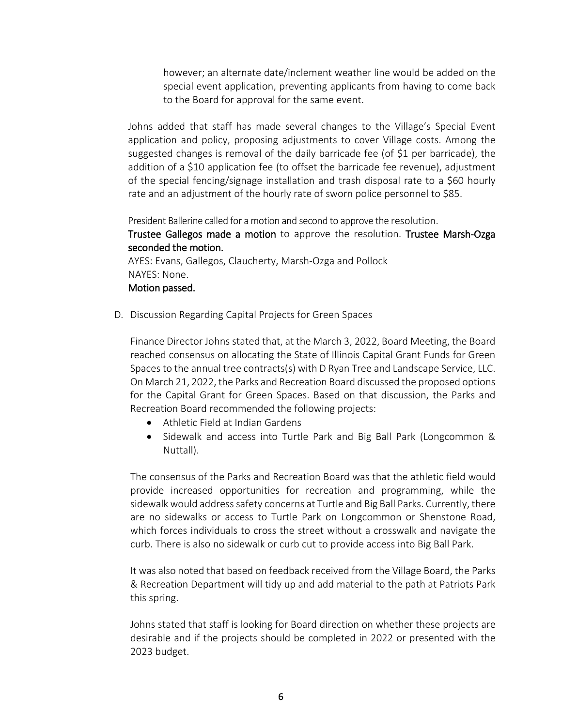however; an alternate date/inclement weather line would be added on the special event application, preventing applicants from having to come back to the Board for approval for the same event.

Johns added that staff has made several changes to the Village's Special Event application and policy, proposing adjustments to cover Village costs. Among the suggested changes is removal of the daily barricade fee (of \$1 per barricade), the addition of a \$10 application fee (to offset the barricade fee revenue), adjustment of the special fencing/signage installation and trash disposal rate to a \$60 hourly rate and an adjustment of the hourly rate of sworn police personnel to \$85.

President Ballerine called for a motion and second to approve the resolution.

Trustee Gallegos made a motion to approve the resolution. Trustee Marsh-Ozga seconded the motion.

AYES: Evans, Gallegos, Claucherty, Marsh-Ozga and Pollock NAYES: None. Motion passed.

D. Discussion Regarding Capital Projects for Green Spaces

Finance Director Johns stated that, at the March 3, 2022, Board Meeting, the Board reached consensus on allocating the State of Illinois Capital Grant Funds for Green Spaces to the annual tree contracts(s) with D Ryan Tree and Landscape Service, LLC. On March 21, 2022, the Parks and Recreation Board discussed the proposed options for the Capital Grant for Green Spaces. Based on that discussion, the Parks and Recreation Board recommended the following projects:

- Athletic Field at Indian Gardens
- Sidewalk and access into Turtle Park and Big Ball Park (Longcommon & Nuttall).

The consensus of the Parks and Recreation Board was that the athletic field would provide increased opportunities for recreation and programming, while the sidewalk would address safety concerns at Turtle and Big Ball Parks. Currently, there are no sidewalks or access to Turtle Park on Longcommon or Shenstone Road, which forces individuals to cross the street without a crosswalk and navigate the curb. There is also no sidewalk or curb cut to provide access into Big Ball Park.

It was also noted that based on feedback received from the Village Board, the Parks & Recreation Department will tidy up and add material to the path at Patriots Park this spring.

Johns stated that staff is looking for Board direction on whether these projects are desirable and if the projects should be completed in 2022 or presented with the 2023 budget.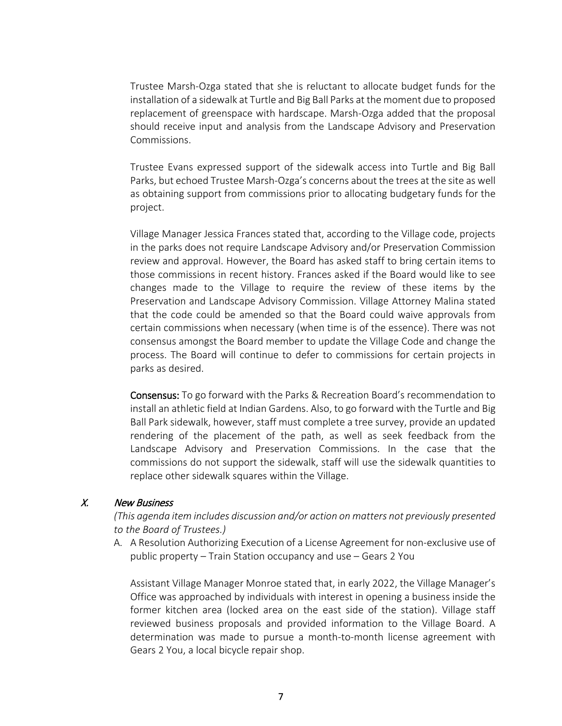Trustee Marsh-Ozga stated that she is reluctant to allocate budget funds for the installation of a sidewalk at Turtle and Big Ball Parks at the moment due to proposed replacement of greenspace with hardscape. Marsh-Ozga added that the proposal should receive input and analysis from the Landscape Advisory and Preservation Commissions.

Trustee Evans expressed support of the sidewalk access into Turtle and Big Ball Parks, but echoed Trustee Marsh-Ozga's concerns about the trees at the site as well as obtaining support from commissions prior to allocating budgetary funds for the project.

Village Manager Jessica Frances stated that, according to the Village code, projects in the parks does not require Landscape Advisory and/or Preservation Commission review and approval. However, the Board has asked staff to bring certain items to those commissions in recent history. Frances asked if the Board would like to see changes made to the Village to require the review of these items by the Preservation and Landscape Advisory Commission. Village Attorney Malina stated that the code could be amended so that the Board could waive approvals from certain commissions when necessary (when time is of the essence). There was not consensus amongst the Board member to update the Village Code and change the process. The Board will continue to defer to commissions for certain projects in parks as desired.

Consensus: To go forward with the Parks & Recreation Board's recommendation to install an athletic field at Indian Gardens. Also, to go forward with the Turtle and Big Ball Park sidewalk, however, staff must complete a tree survey, provide an updated rendering of the placement of the path, as well as seek feedback from the Landscape Advisory and Preservation Commissions. In the case that the commissions do not support the sidewalk, staff will use the sidewalk quantities to replace other sidewalk squares within the Village.

### X. New Business

*(This agenda item includes discussion and/or action on matters not previously presented to the Board of Trustees.)*

A. A Resolution Authorizing Execution of a License Agreement for non-exclusive use of public property – Train Station occupancy and use – Gears 2 You

Assistant Village Manager Monroe stated that, in early 2022, the Village Manager's Office was approached by individuals with interest in opening a business inside the former kitchen area (locked area on the east side of the station). Village staff reviewed business proposals and provided information to the Village Board. A determination was made to pursue a month-to-month license agreement with Gears 2 You, a local bicycle repair shop.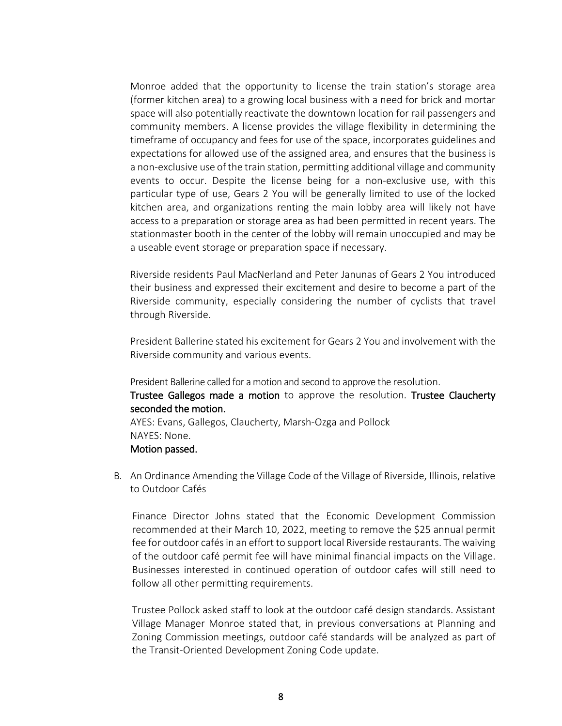Monroe added that the opportunity to license the train station's storage area (former kitchen area) to a growing local business with a need for brick and mortar space will also potentially reactivate the downtown location for rail passengers and community members. A license provides the village flexibility in determining the timeframe of occupancy and fees for use of the space, incorporates guidelines and expectations for allowed use of the assigned area, and ensures that the business is a non-exclusive use of the train station, permitting additional village and community events to occur. Despite the license being for a non-exclusive use, with this particular type of use, Gears 2 You will be generally limited to use of the locked kitchen area, and organizations renting the main lobby area will likely not have access to a preparation or storage area as had been permitted in recent years. The stationmaster booth in the center of the lobby will remain unoccupied and may be a useable event storage or preparation space if necessary.

Riverside residents Paul MacNerland and Peter Janunas of Gears 2 You introduced their business and expressed their excitement and desire to become a part of the Riverside community, especially considering the number of cyclists that travel through Riverside.

President Ballerine stated his excitement for Gears 2 You and involvement with the Riverside community and various events.

President Ballerine called for a motion and second to approve the resolution.

Trustee Gallegos made a motion to approve the resolution. Trustee Claucherty seconded the motion.

AYES: Evans, Gallegos, Claucherty, Marsh-Ozga and Pollock NAYES: None. Motion passed.

B. An Ordinance Amending the Village Code of the Village of Riverside, Illinois, relative to Outdoor Cafés

Finance Director Johns stated that the Economic Development Commission recommended at their March 10, 2022, meeting to remove the \$25 annual permit fee for outdoor cafés in an effort to support local Riverside restaurants. The waiving of the outdoor café permit fee will have minimal financial impacts on the Village. Businesses interested in continued operation of outdoor cafes will still need to follow all other permitting requirements.

Trustee Pollock asked staff to look at the outdoor café design standards. Assistant Village Manager Monroe stated that, in previous conversations at Planning and Zoning Commission meetings, outdoor café standards will be analyzed as part of the Transit-Oriented Development Zoning Code update.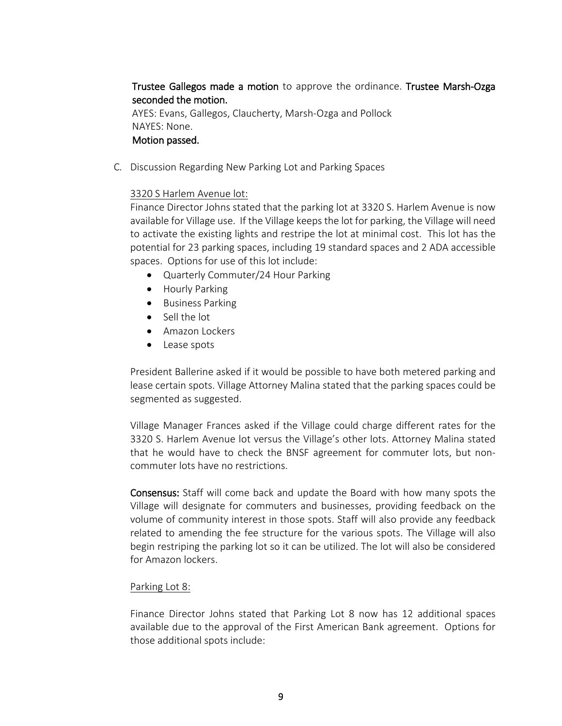# Trustee Gallegos made a motion to approve the ordinance. Trustee Marsh-Ozga seconded the motion.

AYES: Evans, Gallegos, Claucherty, Marsh-Ozga and Pollock NAYES: None. Motion passed.

C. Discussion Regarding New Parking Lot and Parking Spaces

### 3320 S Harlem Avenue lot:

Finance Director Johns stated that the parking lot at 3320 S. Harlem Avenue is now available for Village use. If the Village keeps the lot for parking, the Village will need to activate the existing lights and restripe the lot at minimal cost. This lot has the potential for 23 parking spaces, including 19 standard spaces and 2 ADA accessible spaces. Options for use of this lot include:

- Quarterly Commuter/24 Hour Parking
- Hourly Parking
- Business Parking
- Sell the lot
- Amazon Lockers
- Lease spots

President Ballerine asked if it would be possible to have both metered parking and lease certain spots. Village Attorney Malina stated that the parking spaces could be segmented as suggested.

Village Manager Frances asked if the Village could charge different rates for the 3320 S. Harlem Avenue lot versus the Village's other lots. Attorney Malina stated that he would have to check the BNSF agreement for commuter lots, but noncommuter lots have no restrictions.

Consensus: Staff will come back and update the Board with how many spots the Village will designate for commuters and businesses, providing feedback on the volume of community interest in those spots. Staff will also provide any feedback related to amending the fee structure for the various spots. The Village will also begin restriping the parking lot so it can be utilized. The lot will also be considered for Amazon lockers.

### Parking Lot 8:

Finance Director Johns stated that Parking Lot 8 now has 12 additional spaces available due to the approval of the First American Bank agreement. Options for those additional spots include: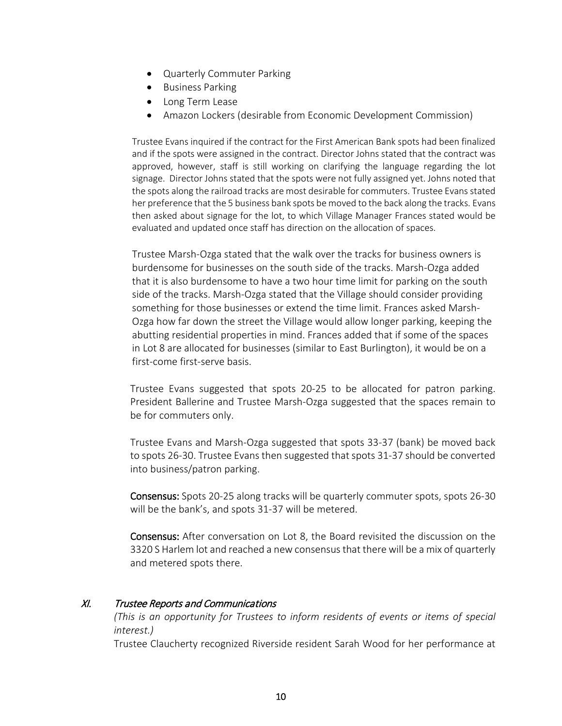- Quarterly Commuter Parking
- Business Parking
- Long Term Lease
- Amazon Lockers (desirable from Economic Development Commission)

Trustee Evans inquired if the contract for the First American Bank spots had been finalized and if the spots were assigned in the contract. Director Johns stated that the contract was approved, however, staff is still working on clarifying the language regarding the lot signage. Director Johns stated that the spots were not fully assigned yet. Johns noted that the spots along the railroad tracks are most desirable for commuters. Trustee Evans stated her preference that the 5 business bank spots be moved to the back along the tracks. Evans then asked about signage for the lot, to which Village Manager Frances stated would be evaluated and updated once staff has direction on the allocation of spaces.

Trustee Marsh-Ozga stated that the walk over the tracks for business owners is burdensome for businesses on the south side of the tracks. Marsh-Ozga added that it is also burdensome to have a two hour time limit for parking on the south side of the tracks. Marsh-Ozga stated that the Village should consider providing something for those businesses or extend the time limit. Frances asked Marsh-Ozga how far down the street the Village would allow longer parking, keeping the abutting residential properties in mind. Frances added that if some of the spaces in Lot 8 are allocated for businesses (similar to East Burlington), it would be on a first-come first-serve basis.

Trustee Evans suggested that spots 20-25 to be allocated for patron parking. President Ballerine and Trustee Marsh-Ozga suggested that the spaces remain to be for commuters only.

Trustee Evans and Marsh-Ozga suggested that spots 33-37 (bank) be moved back to spots 26-30. Trustee Evans then suggested that spots 31-37 should be converted into business/patron parking.

Consensus: Spots 20-25 along tracks will be quarterly commuter spots, spots 26-30 will be the bank's, and spots 31-37 will be metered.

Consensus: After conversation on Lot 8, the Board revisited the discussion on the 3320 S Harlem lot and reached a new consensus that there will be a mix of quarterly and metered spots there.

### XI. Trustee Reports and Communications

*(This is an opportunity for Trustees to inform residents of events or items of special interest.)*

Trustee Claucherty recognized Riverside resident Sarah Wood for her performance at